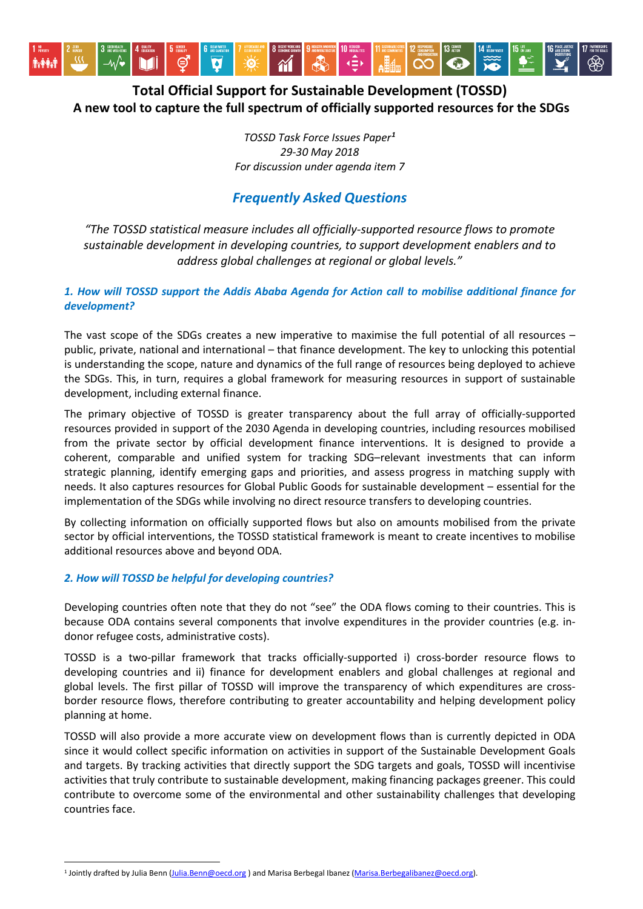

# **Total Official Support for Sustainable Development (TOSSD) A new tool to capture the full spectrum of officially supported resources for the SDGs**

*TOSSD Task Force Issues Paper[1](#page-0-0) 29-30 May 2018 For discussion under agenda item 7*

## *Frequently Asked Questions*

*"The TOSSD statistical measure includes all officially-supported resource flows to promote sustainable development in developing countries, to support development enablers and to address global challenges at regional or global levels."*

### *1. How will TOSSD support the Addis Ababa Agenda for Action call to mobilise additional finance for development?*

The vast scope of the SDGs creates a new imperative to maximise the full potential of all resources – public, private, national and international – that finance development. The key to unlocking this potential is understanding the scope, nature and dynamics of the full range of resources being deployed to achieve the SDGs. This, in turn, requires a global framework for measuring resources in support of sustainable development, including external finance.

The primary objective of TOSSD is greater transparency about the full array of officially-supported resources provided in support of the 2030 Agenda in developing countries, including resources mobilised from the private sector by official development finance interventions. It is designed to provide a coherent, comparable and unified system for tracking SDG–relevant investments that can inform strategic planning, identify emerging gaps and priorities, and assess progress in matching supply with needs. It also captures resources for Global Public Goods for sustainable development – essential for the implementation of the SDGs while involving no direct resource transfers to developing countries.

By collecting information on officially supported flows but also on amounts mobilised from the private sector by official interventions, the TOSSD statistical framework is meant to create incentives to mobilise additional resources above and beyond ODA.

### *2. How will TOSSD be helpful for developing countries?*

 $\ddot{\phantom{a}}$ 

Developing countries often note that they do not "see" the ODA flows coming to their countries. This is because ODA contains several components that involve expenditures in the provider countries (e.g. indonor refugee costs, administrative costs).

TOSSD is a two-pillar framework that tracks officially-supported i) cross-border resource flows to developing countries and ii) finance for development enablers and global challenges at regional and global levels. The first pillar of TOSSD will improve the transparency of which expenditures are crossborder resource flows, therefore contributing to greater accountability and helping development policy planning at home.

TOSSD will also provide a more accurate view on development flows than is currently depicted in ODA since it would collect specific information on activities in support of the Sustainable Development Goals and targets. By tracking activities that directly support the SDG targets and goals, TOSSD will incentivise activities that truly contribute to sustainable development, making financing packages greener. This could contribute to overcome some of the environmental and other sustainability challenges that developing countries face.

<span id="page-0-0"></span><sup>1</sup> Jointly drafted by Julia Benn [\(Julia.Benn@oecd.org](mailto:Julia.Benn@oecd.org)) and Marisa Berbegal Ibanez [\(Marisa.Berbegalibanez@oecd.org\).](mailto:Marisa.Berbegalibanez@oecd.org)